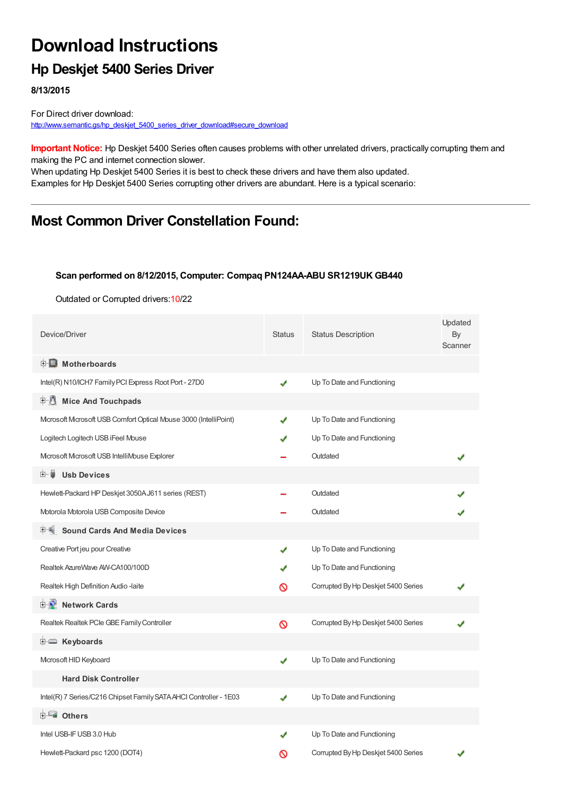# **Download Instructions**

### **Hp Deskjet 5400 Series Driver**

**8/13/2015**

For Direct driver download: [http://www.semantic.gs/hp\\_deskjet\\_5400\\_series\\_driver\\_download#secure\\_download](http://www.semantic.gs/hp_deskjet_5400_series_driver_download#secure_download)

**Important Notice:** Hp Deskjet 5400 Series often causes problems with other unrelated drivers, practically corrupting them and making the PC and internet connection slower.

When updating Hp Deskjet 5400 Series it is best to check these drivers and have them also updated. Examples for Hp Deskjet 5400 Series corrupting other drivers are abundant. Here is a typical scenario:

### **Most Common Driver Constellation Found:**

#### **Scan performed on 8/12/2015, Computer: Compaq PN124AA-ABU SR1219UK GB440**

Outdated or Corrupted drivers:10/22

| Device/Driver                                                     | <b>Status</b> | <b>Status Description</b>           | Updated<br>By<br>Scanner |
|-------------------------------------------------------------------|---------------|-------------------------------------|--------------------------|
| <b>E</b> Motherboards                                             |               |                                     |                          |
| Intel(R) N10/ICH7 Family PCI Express Root Port - 27D0             | ✔             | Up To Date and Functioning          |                          |
| <b>E</b> Mice And Touchpads                                       |               |                                     |                          |
| Microsoft Microsoft USB Comfort Optical Mouse 3000 (IntelliPoint) | J             | Up To Date and Functioning          |                          |
| Logitech Logitech USB iFeel Mouse                                 |               | Up To Date and Functioning          |                          |
| Microsoft Microsoft USB IntelliMouse Explorer                     |               | Outdated                            |                          |
| 田一尊<br><b>Usb Devices</b>                                         |               |                                     |                          |
| Hewlett-Packard HP Deskjet 3050AJ611 series (REST)                |               | Outdated                            |                          |
| Motorola Motorola USB Composite Device                            |               | Outdated                            |                          |
| <b>Sound Cards And Media Devices</b>                              |               |                                     |                          |
| Creative Port jeu pour Creative                                   | ✔             | Up To Date and Functioning          |                          |
| Realtek AzureWave AW-CA100/100D                                   |               | Up To Date and Functioning          |                          |
| Realtek High Definition Audio -laite                              | ∾             | Corrupted By Hp Deskjet 5400 Series |                          |
| <b>D</b> Network Cards                                            |               |                                     |                          |
| Realtek Realtek PCle GBE Family Controller                        | Ø             | Corrupted By Hp Deskjet 5400 Series |                          |
| <b>E</b> Keyboards                                                |               |                                     |                          |
| Microsoft HID Keyboard                                            | ✔             | Up To Date and Functioning          |                          |
| <b>Hard Disk Controller</b>                                       |               |                                     |                          |
| Intel(R) 7 Series/C216 Chipset Family SATA AHCI Controller - 1E03 | ✔             | Up To Date and Functioning          |                          |
| <b>⊞- ⊞∎ Others</b>                                               |               |                                     |                          |
| Intel USB-IF USB 3.0 Hub                                          |               | Up To Date and Functioning          |                          |
| Hewlett-Packard psc 1200 (DOT4)                                   | ര             | Corrupted By Hp Deskjet 5400 Series |                          |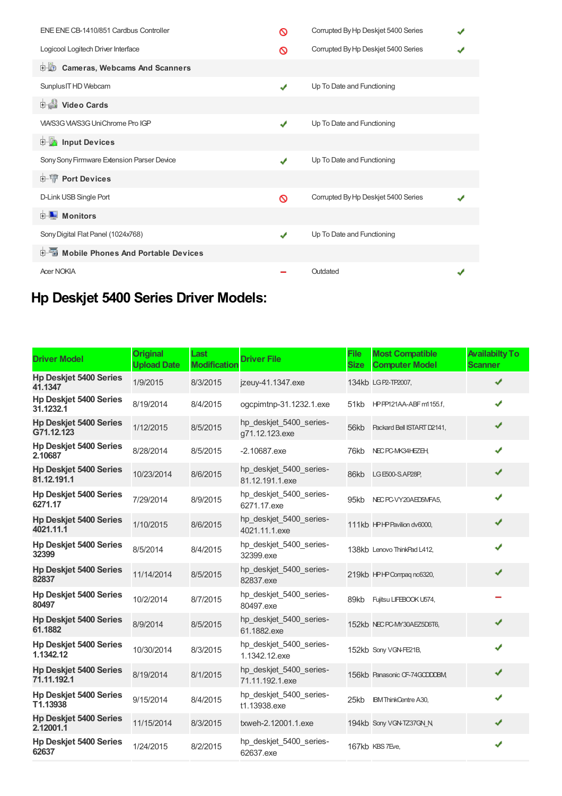| ENE ENE CB-1410/851 Cardbus Controller       | ര | Corrupted By Hp Deskjet 5400 Series |  |
|----------------------------------------------|---|-------------------------------------|--|
| Logicool Logitech Driver Interface           | ∾ | Corrupted By Hp Deskjet 5400 Series |  |
| 中心<br><b>Cameras, Webcams And Scanners</b>   |   |                                     |  |
| Sunplus IT HD Webcam                         | ✔ | Up To Date and Functioning          |  |
| Video Cards                                  |   |                                     |  |
| VIA/S3G VIA/S3G UniChrome Pro IGP            | J | Up To Date and Functioning          |  |
| <b>E</b> Input Devices                       |   |                                     |  |
| Sony Sony Firmware Extension Parser Device   | J | Up To Date and Functioning          |  |
| <b>E-TP</b> Port Devices                     |   |                                     |  |
| D-Link USB Single Port                       | ര | Corrupted By Hp Deskjet 5400 Series |  |
| <b>E</b> Monitors                            |   |                                     |  |
| Sony Digital Flat Panel (1024x768)           | ✔ | Up To Date and Functioning          |  |
| <b>E-</b> Mobile Phones And Portable Devices |   |                                     |  |
| <b>Acer NOKIA</b>                            |   | Outdated                            |  |

## **Hp Deskjet 5400 Series Driver Models:**

| <b>Driver Model</b>                          | <b>Original</b><br><b>Upload Date</b> | Last<br><b>Modification</b> | <b>Driver File</b>                         | <b>File</b><br><b>Size</b> | <b>Most Compatible</b><br><b>Computer Model</b> | <b>Availabilty To</b><br><b>Scanner</b> |
|----------------------------------------------|---------------------------------------|-----------------------------|--------------------------------------------|----------------------------|-------------------------------------------------|-----------------------------------------|
| <b>Hp Deskjet 5400 Series</b><br>41.1347     | 1/9/2015                              | 8/3/2015                    | jzeuy-41.1347.exe                          |                            | 134kb LG P2-TP2007,                             | ✔                                       |
| <b>Hp Deskjet 5400 Series</b><br>31.1232.1   | 8/19/2014                             | 8/4/2015                    | ogcpimtnp-31.1232.1.exe                    | 51kb                       | HPPP121AA-ABF m1155.f,                          | ✔                                       |
| <b>Hp Deskjet 5400 Series</b><br>G71.12.123  | 1/12/2015                             | 8/5/2015                    | hp_deskjet_5400_series-<br>g71.12.123.exe  | 56kb                       | Packard Bell ISTART D2141,                      | ✔                                       |
| <b>Hp Deskjet 5400 Series</b><br>2.10687     | 8/28/2014                             | 8/5/2015                    | $-2.10687$ .exe                            | 76kb                       | NEC PC-MK34HEZEH,                               | ✔                                       |
| <b>Hp Deskjet 5400 Series</b><br>81.12.191.1 | 10/23/2014                            | 8/6/2015                    | hp_deskjet_5400_series-<br>81.12.191.1.exe | 86kb                       | LG E500-S.AP28P,                                | ✔                                       |
| <b>Hp Deskjet 5400 Series</b><br>6271.17     | 7/29/2014                             | 8/9/2015                    | hp_deskjet_5400_series-<br>6271.17.exe     | 95kb                       | NEC PC-VY20AED5MFA5,                            | ✔                                       |
| <b>Hp Deskjet 5400 Series</b><br>4021.11.1   | 1/10/2015                             | 8/6/2015                    | hp_deskjet_5400_series-<br>4021.11.1.exe   |                            | 111kb HPHP Pavilion dv6000,                     | ✔                                       |
| <b>Hp Deskjet 5400 Series</b><br>32399       | 8/5/2014                              | 8/4/2015                    | hp_deskjet_5400_series-<br>32399.exe       |                            | 138kb Lenovo ThinkPad L412,                     | J                                       |
| <b>Hp Deskjet 5400 Series</b><br>82837       | 11/14/2014                            | 8/5/2015                    | hp deskjet 5400 series-<br>82837.exe       |                            | 219kb HPHPCompag nc6320,                        | ✔                                       |
| <b>Hp Deskjet 5400 Series</b><br>80497       | 10/2/2014                             | 8/7/2015                    | hp_deskjet_5400_series-<br>80497.exe       | 89kb                       | Fujitsu LIFEBOOK U574,                          |                                         |
| <b>Hp Deskjet 5400 Series</b><br>61.1882     | 8/9/2014                              | 8/5/2015                    | hp_deskjet_5400_series-<br>61.1882.exe     |                            | 152kb NECPC-MY30AEZ5D6T6,                       | ✔                                       |
| <b>Hp Deskjet 5400 Series</b><br>1.1342.12   | 10/30/2014                            | 8/3/2015                    | hp_deskjet_5400_series-<br>1.1342.12.exe   |                            | 152kb Sony VGN-FE21B,                           | J                                       |
| <b>Hp Deskjet 5400 Series</b><br>71.11.192.1 | 8/19/2014                             | 8/1/2015                    | hp deskjet 5400 series-<br>71.11.192.1.exe |                            | 156kb Panasonic CF-74GCDDDBM                    | ✔                                       |
| <b>Hp Deskjet 5400 Series</b><br>T1.13938    | 9/15/2014                             | 8/4/2015                    | hp_deskjet_5400_series-<br>t1.13938.exe    | 25kb                       | <b>IBM ThinkCentre A30,</b>                     | ✔                                       |
| <b>Hp Deskjet 5400 Series</b><br>2.12001.1   | 11/15/2014                            | 8/3/2015                    | txweh-2.12001.1.exe                        |                            | 194kb Sony VGN-TZ37GN_N,                        | ✔                                       |
| <b>Hp Deskjet 5400 Series</b><br>62637       | 1/24/2015                             | 8/2/2015                    | hp_deskjet_5400_series-<br>62637.exe       |                            | 167kb KBS 7Eve,                                 | ✔                                       |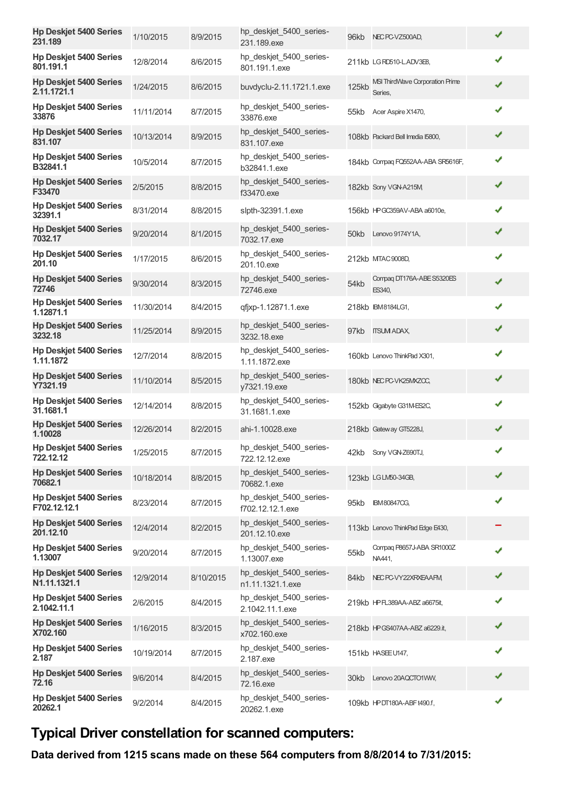| <b>Hp Deskjet 5400 Series</b><br>231.189      | 1/10/2015  | 8/9/2015  | hp_deskjet_5400_series-<br>231.189.exe      |              | 96kb NEC PC-VZ500AD,                       |   |
|-----------------------------------------------|------------|-----------|---------------------------------------------|--------------|--------------------------------------------|---|
| <b>Hp Deskjet 5400 Series</b><br>801.191.1    | 12/8/2014  | 8/6/2015  | hp deskjet 5400 series-<br>801.191.1.exe    |              | 211kb LGRD510-LADV3E8,                     | ✔ |
| <b>Hp Deskjet 5400 Series</b><br>2.11.1721.1  | 1/24/2015  | 8/6/2015  | buvdyclu-2.11.1721.1.exe                    | <b>125kb</b> | MSI ThirdWave Corporation Prime<br>Series, | ✔ |
| <b>Hp Deskjet 5400 Series</b><br>33876        | 11/11/2014 | 8/7/2015  | hp_deskjet_5400_series-<br>33876.exe        | 55kb         | Acer Aspire X1470,                         | ✔ |
| <b>Hp Deskjet 5400 Series</b><br>831.107      | 10/13/2014 | 8/9/2015  | hp_deskjet_5400_series-<br>831.107.exe      |              | 108kb Packard Bell Imedia I5800,           | ✔ |
| <b>Hp Deskjet 5400 Series</b><br>B32841.1     | 10/5/2014  | 8/7/2015  | hp deskjet 5400 series-<br>b32841.1.exe     |              | 184kb Compaq FQ552AA-ABA SR5616F,          | ✔ |
| <b>Hp Deskjet 5400 Series</b><br>F33470       | 2/5/2015   | 8/8/2015  | hp_deskjet_5400_series-<br>f33470.exe       |              | 182kb Sony VGN-A215M                       | ✔ |
| <b>Hp Deskjet 5400 Series</b><br>32391.1      | 8/31/2014  | 8/8/2015  | slpth-32391.1.exe                           |              | 156kb HPGC359AV-ABA a6010e,                | ✔ |
| <b>Hp Deskjet 5400 Series</b><br>7032.17      | 9/20/2014  | 8/1/2015  | hp_deskjet_5400_series-<br>7032.17.exe      |              | 50kb Lenovo 9174Y1A,                       | ✔ |
| <b>Hp Deskjet 5400 Series</b><br>201.10       | 1/17/2015  | 8/6/2015  | hp_deskjet_5400_series-<br>201.10.exe       |              | 212kb MTAC 9008D,                          | ✔ |
| <b>Hp Deskjet 5400 Series</b><br>72746        | 9/30/2014  | 8/3/2015  | hp deskjet 5400 series-<br>72746.exe        | 54kb         | Compag DT176A-ABE S5320ES<br>ES340,        | ✔ |
| <b>Hp Deskjet 5400 Series</b><br>1.12871.1    | 11/30/2014 | 8/4/2015  | qfjxp-1.12871.1.exe                         |              | 218kb IBM8184LG1,                          | ✔ |
| <b>Hp Deskjet 5400 Series</b><br>3232.18      | 11/25/2014 | 8/9/2015  | hp_deskjet_5400_series-<br>3232.18.exe      |              | 97kb ITSUM ADAX,                           | ✔ |
| <b>Hp Deskjet 5400 Series</b><br>1.11.1872    | 12/7/2014  | 8/8/2015  | hp_deskjet_5400_series-<br>1.11.1872.exe    |              | 160kb Lenovo ThinkPad X301,                | ✔ |
| <b>Hp Deskjet 5400 Series</b><br>Y7321.19     | 11/10/2014 | 8/5/2015  | hp_deskjet_5400_series-<br>y7321.19.exe     |              | 180kb NEC PC-VK25MXZOC,                    | ✔ |
| <b>Hp Deskjet 5400 Series</b><br>31.1681.1    | 12/14/2014 | 8/8/2015  | hp_deskjet_5400_series-<br>31.1681.1.exe    |              | 152kb Ggabyte G31M-ES2C,                   | ✔ |
| <b>Hp Deskjet 5400 Series</b><br>1.10028      | 12/26/2014 | 8/2/2015  | ahi-1.10028.exe                             |              | 218kb Gateway GT5228J,                     | ✔ |
| <b>Hp Deskjet 5400 Series</b><br>722.12.12    | 1/25/2015  | 8/7/2015  | hp_deskjet_5400_series-<br>722.12.12.exe    |              | 42kb Sony VGN-Z690TJ,                      | J |
| <b>Hp Deskjet 5400 Series</b><br>70682.1      | 10/18/2014 | 8/8/2015  | hp deskjet 5400 series-<br>70682.1.exe      |              | 123kb LG LM50-34GB,                        | ✔ |
| <b>Hp Deskjet 5400 Series</b><br>F702.12.12.1 | 8/23/2014  | 8/7/2015  | hp_deskjet_5400_series-<br>f702.12.12.1.exe | 95kb         | <b>IBM80847CG,</b>                         | ✔ |
| <b>Hp Deskjet 5400 Series</b><br>201.12.10    | 12/4/2014  | 8/2/2015  | hp_deskjet_5400_series-<br>201.12.10.exe    |              | 113kb Lenovo ThinkPad Edge E430,           |   |
| <b>Hp Deskjet 5400 Series</b><br>1.13007      | 9/20/2014  | 8/7/2015  | hp deskjet 5400 series-<br>1.13007.exe      | 55kb         | Compaq P8657J-ABA SR1000Z<br>NA441,        | ✔ |
| <b>Hp Deskjet 5400 Series</b><br>N1.11.1321.1 | 12/9/2014  | 8/10/2015 | hp deskjet 5400 series-<br>n1.11.1321.1.exe | 84kb         | NEC PC-VY22XRXEAAFM,                       | ✔ |
| <b>Hp Deskjet 5400 Series</b><br>2.1042.11.1  | 2/6/2015   | 8/4/2015  | hp_deskjet_5400_series-<br>2.1042.11.1.exe  |              | 219kb HPFL389AA-ABZ a6675it,               | ✔ |
| <b>Hp Deskjet 5400 Series</b><br>X702.160     | 1/16/2015  | 8/3/2015  | hp_deskjet_5400_series-<br>x702.160.exe     |              | 218kb HPGS407AA-ABZ a6229.it,              | ✔ |
| <b>Hp Deskjet 5400 Series</b><br>2.187        | 10/19/2014 | 8/7/2015  | hp_deskjet_5400_series-<br>2.187.exe        |              | 151kb HASEE U147,                          | ✔ |
| <b>Hp Deskjet 5400 Series</b><br>72.16        | 9/6/2014   | 8/4/2015  | hp_deskjet_5400_series-<br>72.16.exe        |              | 30kb Lenovo 20AQCTO1WW,                    | ✔ |
| <b>Hp Deskjet 5400 Series</b><br>20262.1      | 9/2/2014   | 8/4/2015  | hp_deskjet_5400_series-<br>20262.1.exe      |              | 109kb HPDT180A-ABFt490.f,                  | ✔ |

## **Typical Driver constellation for scanned computers:**

**Data derived from 1215 scans made on these 564 computers from 8/8/2014 to 7/31/2015:**